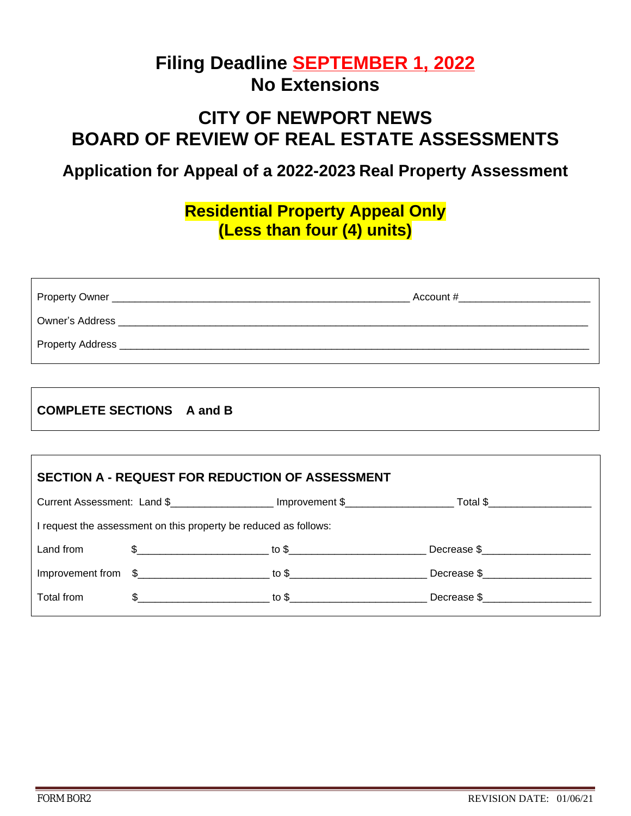# **Filing Deadline SEPTEMBER 1, 2022 No Extensions**

# **CITY OF NEWPORT NEWS BOARD OF REVIEW OF REAL ESTATE ASSESSMENTS**

### **Application for Appeal of a 2022-2023 Real Property Assessment**

### **Residential Property Appeal Only (Less than four (4) units)**

| Property Owner _ | Account # |
|------------------|-----------|
| Owner's Address  |           |
| Property Address |           |

#### **COMPLETE SECTIONS A and B**

| <b>SECTION A - REQUEST FOR REDUCTION OF ASSESSMENT</b>           |                                                                  |                                |             |  |
|------------------------------------------------------------------|------------------------------------------------------------------|--------------------------------|-------------|--|
|                                                                  | Current Assessment: Land \$                                      |                                |             |  |
| I request the assessment on this property be reduced as follows: |                                                                  |                                |             |  |
| Land from                                                        | $\text{S}$ to $\text{S}$                                         |                                | Decrease \$ |  |
|                                                                  | Improvement from $\frac{2}{5}$ to $\frac{2}{5}$ to $\frac{2}{5}$ |                                | Decrease \$ |  |
| Total from                                                       |                                                                  | $\texttt{\$}$ to $\texttt{\$}$ | Decrease \$ |  |